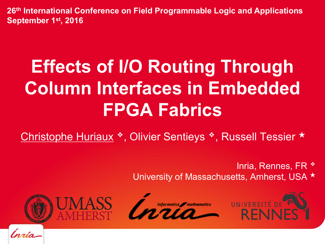**26th International Conference on Field Programmable Logic and Applications September 1st, 2016**

# **Effects of I/O Routing Through Column Interfaces in Embedded FPGA Fabrics**

Christophe Huriaux ❖, Olivier Sentieys ❖, Russell Tessier ★

Inria, Rennes, FR ❖ University of Massachusetts, Amherst, USA ★







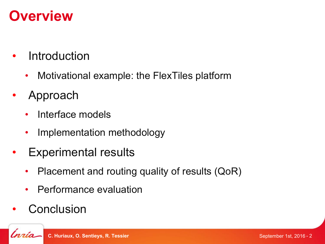# **Overview**

- **Introduction** 
	- Motivational example: the FlexTiles platform
- Approach
	- Interface models
	- Implementation methodology
- Experimental results
	- Placement and routing quality of results (QoR)
	- Performance evaluation
- **Conclusion**

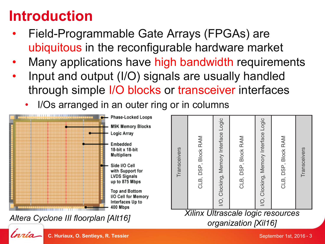# **Introduction**

- **•** Field-Programmable Gate Arrays (FPGAs) are ubiquitous in the reconfigurable hardware market
- Many applications have high bandwidth requirements depincations nave ingh bandwidth requirements
- Input and output (I/O) signals are usually handled through simple I/O blocks or transceiver interfaces **PRIGURATION IN CONFIGURATION OF SHOW SHOWER MONETAGE** 
	- I/Os arranged in an outer ring or in columns

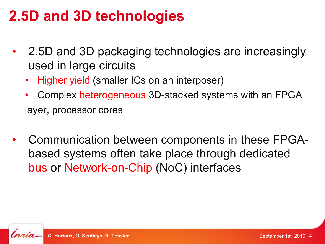# **2.5D and 3D technologies**

- 2.5D and 3D packaging technologies are increasingly used in large circuits
	- Higher yield (smaller ICs on an interposer)
	- Complex heterogeneous 3D-stacked systems with an FPGA layer, processor cores
- Communication between components in these FPGAbased systems often take place through dedicated bus or Network-on-Chip (NoC) interfaces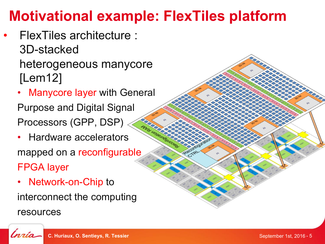# **Motivational example: FlexTiles platform**

- FlexTiles architecture : 3D-stacked heterogeneous manycore [Lem12]
	- Manycore layer with General Purpose and Digital Signal Processors (GPP, DSP)
	- Hardware accelerators mapped on a reconfigurable FPGA layer
	- Network-on-Chip to interconnect the computing resources



**CREEKER**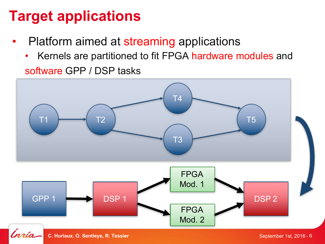# **Target applications**

- Platform aimed at streaming applications
	- Kernels are partitioned to fit FPGA hardware modules and software GPP / DSP tasks

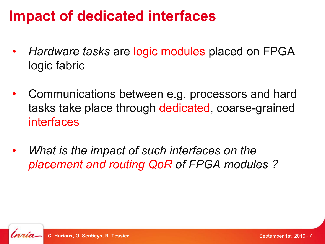#### **Impact of dedicated interfaces**

- *Hardware tasks* are logic modules placed on FPGA logic fabric
- Communications between e.g. processors and hard tasks take place through dedicated, coarse-grained interfaces
- *What is the impact of such interfaces on the placement and routing QoR of FPGA modules ?*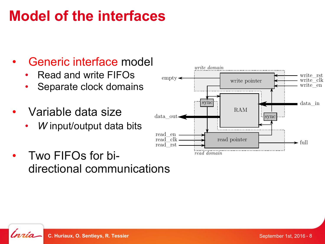# **Model of the interfaces**

- Generic interface model
	- Read and write FIFOs
	- Separate clock domains
- Variable data size
	- *W* input/output data bits
- Two FIFOs for bidirectional communications

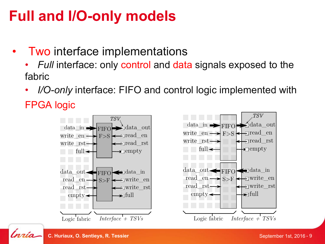# **Full and I/O-only models**

- **Two interface implementations** 
	- *Full* interface: only control and data signals exposed to the fabric
	- *I/O-only* interface: FIFO and control logic implemented with

FPGA logic







TSV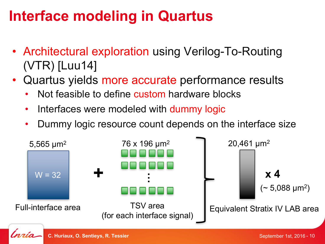# **Interface modeling in Quartus**

- Architectural exploration using Verilog-To-Routing (VTR) [Luu14]
- Quartus yields more accurate performance results
	- Not feasible to define custom hardware blocks
	- Interfaces were modeled with dummy logic
	- Dummy logic resource count depends on the interface size

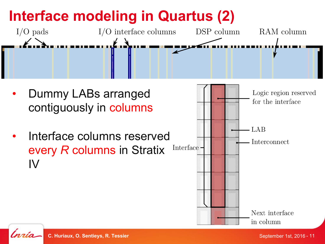# **Interface modeling in Quartus (2)**



- Dummy LABs arranged contiguously in columns
- Interface columns reserved every *R* columns in Stratix IV





**C. Huriaux, O. Sentieys, R. Tessier** September 1st, 2016 - 11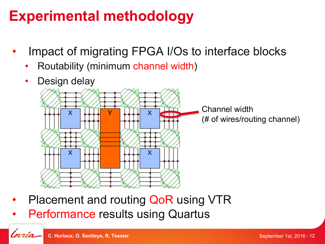# **Experimental methodology**

- Impact of migrating FPGA I/Os to interface blocks
	- Routability (minimum channel width)
	- Design delay



- Placement and routing QoR using VTR
- Performance results using Quartus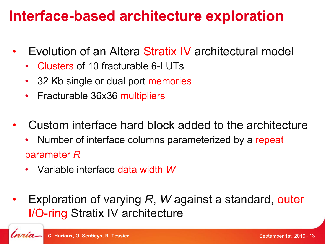### **Interface-based architecture exploration**

- Evolution of an Altera Stratix IV architectural model
	- Clusters of 10 fracturable 6-LUTs
	- 32 Kb single or dual port memories
	- Fracturable 36x36 multipliers
- Custom interface hard block added to the architecture
	- Number of interface columns parameterized by a repeat parameter *R*
	- Variable interface data width *W*
- Exploration of varying *R*, *W* against a standard, outer I/O-ring Stratix IV architecture

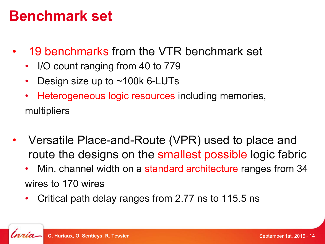#### **Benchmark set**

- 19 benchmarks from the VTR benchmark set
	- I/O count ranging from 40 to 779
	- Design size up to ~100k 6-LUTs
	- Heterogeneous logic resources including memories, multipliers
- Versatile Place-and-Route (VPR) used to place and route the designs on the smallest possible logic fabric
	- Min. channel width on a standard architecture ranges from 34 wires to 170 wires
	- Critical path delay ranges from 2.77 ns to 115.5 ns

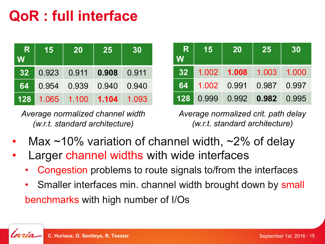# **QoR : full interface**

| $\mathbf R$<br>W | 15             | <b>20</b> | 25          | 30    |
|------------------|----------------|-----------|-------------|-------|
|                  | 32 0.923 0.911 |           | 0.908 0.911 |       |
| <b>64</b>        | $\vert$ 0.954  | 0.939     | 0.940       | 0.940 |
| 128 <b>L</b>     | 1.065          | 1.100     | 1.104       | 1.093 |

*Average normalized channel width (w.r.t. standard architecture)*

| -R<br>W         | 15 | <b>20</b>                     | 25    | 30    |
|-----------------|----|-------------------------------|-------|-------|
| 32 <sub>2</sub> |    | 1.002 1.008                   | 1.003 | 1.000 |
| <b>64</b>       |    | 1.002   0.991   0.987   0.997 |       |       |
|                 |    | 128 0.999 0.992 0.982 0.995   |       |       |

*Average normalized crit. path delay (w.r.t. standard architecture)*

- Max  $\sim$ 10% variation of channel width,  $\sim$ 2% of delay
- Larger channel widths with wide interfaces
	- Congestion problems to route signals to/from the interfaces
	- Smaller interfaces min. channel width brought down by small benchmarks with high number of I/Os

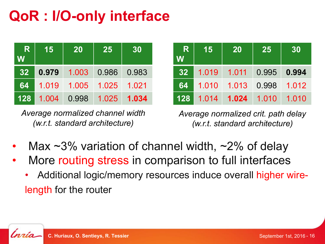# **QoR : I/O-only interface**

| -R<br>W         | 15    | <b>20</b> | 25          | 30       |
|-----------------|-------|-----------|-------------|----------|
| 32 <sub>2</sub> | 0.979 |           | 1.003 0.986 | 0.983    |
| 64              | 1.019 | 1.005     | 1.025       | $-1.021$ |
| 128             | 1.004 | 0.998     | 1.025       | 1.034    |

*Average normalized channel width (w.r.t. standard architecture)*

| -R<br>W         | 15            | <b>20</b>             | 25                | 30    |
|-----------------|---------------|-----------------------|-------------------|-------|
| 32 <sub>2</sub> | $\vert$ 1.019 |                       | 1.011 0.995 0.994 |       |
| <b>64</b>       | $ $ 1.010 $ $ | $1.013$ 0.998         |                   | 1.012 |
|                 |               | 128 1.014 1.024 1.010 |                   | 1.010 |

*Average normalized crit. path delay (w.r.t. standard architecture)*

- Max  $\sim$ 3% variation of channel width,  $\sim$ 2% of delay
- More routing stress in comparison to full interfaces
	- Additional logic/memory resources induce overall higher wirelength for the router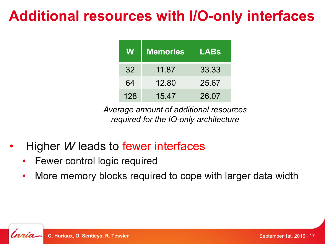# **Additional resources with I/O-only interfaces**

| W   | <b>Memories</b> | LABs  |
|-----|-----------------|-------|
| 32  | 11.87           | 33.33 |
| 64  | 12.80           | 25.67 |
| 128 | 15.47           | 26.07 |

*Average amount of additional resources required for the IO-only architecture*

- Higher *W* leads to fewer interfaces
	- Fewer control logic required
	- More memory blocks required to cope with larger data width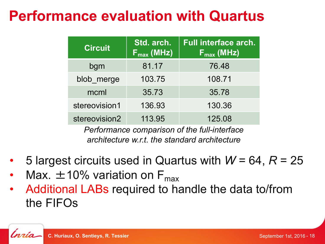# **Performance evaluation with Quartus**

| <b>Circuit</b> | Std. arch.<br>$F_{\text{max}}$ (MHz) | <b>Full interface arch.</b><br>$\mathsf{F}_{\mathsf{max}}$ (MHz) |
|----------------|--------------------------------------|------------------------------------------------------------------|
| bgm            | 81.17                                | 76.48                                                            |
| blob merge     | 103.75                               | 108.71                                                           |
| mcml           | 35.73                                | 35.78                                                            |
| stereovision1  | 136.93                               | 130.36                                                           |
| stereovision2  | 113.95                               | 125.08                                                           |

*Performance comparison of the full-interface architecture w.r.t. the standard architecture*

- 5 largest circuits used in Quartus with *W* = 64, *R* = 25
- Max.  $\pm$ 10% variation on F<sub>max</sub>
- Additional LABs required to handle the data to/from the FIFOs

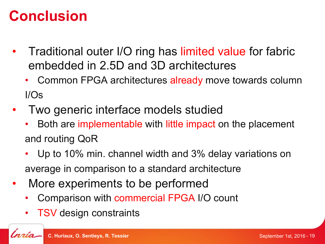#### **Conclusion**

- Traditional outer I/O ring has limited value for fabric embedded in 2.5D and 3D architectures
	- Common FPGA architectures already move towards column I/Os
- Two generic interface models studied
	- Both are implementable with little impact on the placement and routing QoR
	- Up to 10% min. channel width and 3% delay variations on average in comparison to a standard architecture
- More experiments to be performed
	- Comparison with commercial FPGA I/O count
	- **TSV** design constraints

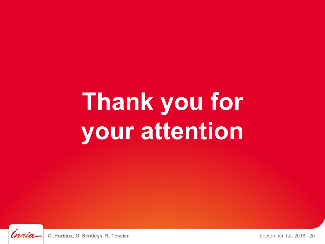# **Thank you for your attention**

ĺnrío

**C. Huriaux, O. Sentieys, R. Tessier** September 1st, 2016 - 20